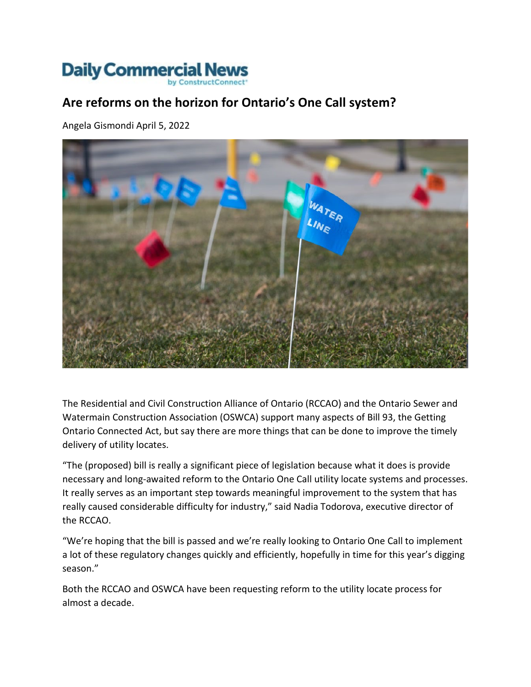## **Daily Commercial News**

## **Are reforms on the horizon for Ontario's One Call system?**

Angela Gismondi April 5, 2022



The Residential and Civil Construction Alliance of Ontario (RCCAO) and the Ontario Sewer and Watermain Construction Association (OSWCA) support many aspects of Bill 93, the Getting Ontario Connected Act, but say there are more things that can be done to improve the timely delivery of utility locates.

"The (proposed) bill is really a significant piece of legislation because what it does is provide necessary and long-awaited reform to the Ontario One Call utility locate systems and processes. It really serves as an important step towards meaningful improvement to the system that has really caused considerable difficulty for industry," said Nadia Todorova, executive director of the RCCAO.

"We're hoping that the bill is passed and we're really looking to Ontario One Call to implement a lot of these regulatory changes quickly and efficiently, hopefully in time for this year's digging season."

Both the RCCAO and OSWCA have been requesting reform to the utility locate process for almost a decade.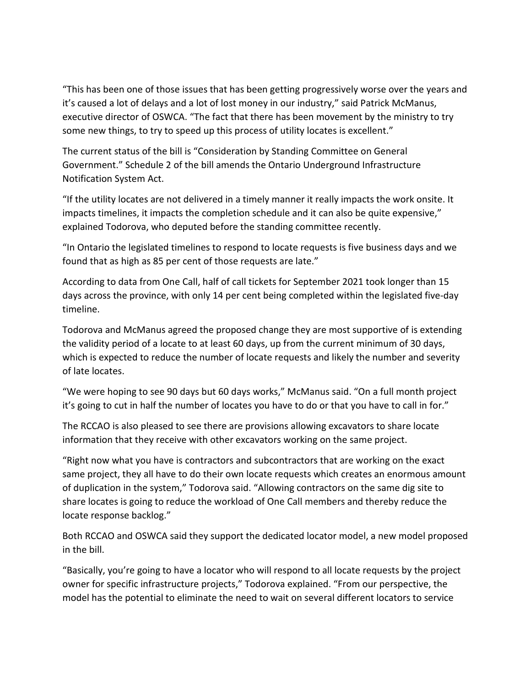"This has been one of those issues that has been getting progressively worse over the years and it's caused a lot of delays and a lot of lost money in our industry," said Patrick McManus, executive director of OSWCA. "The fact that there has been movement by the ministry to try some new things, to try to speed up this process of utility locates is excellent."

The current status of the bill is "Consideration by Standing Committee on General Government." Schedule 2 of the bill amends the Ontario Underground Infrastructure Notification System Act.

"If the utility locates are not delivered in a timely manner it really impacts the work onsite. It impacts timelines, it impacts the completion schedule and it can also be quite expensive," explained Todorova, who deputed before the standing committee recently.

"In Ontario the legislated timelines to respond to locate requests is five business days and we found that as high as 85 per cent of those requests are late."

According to data from One Call, half of call tickets for September 2021 took longer than 15 days across the province, with only 14 per cent being completed within the legislated five-day timeline.

Todorova and McManus agreed the proposed change they are most supportive of is extending the validity period of a locate to at least 60 days, up from the current minimum of 30 days, which is expected to reduce the number of locate requests and likely the number and severity of late locates.

"We were hoping to see 90 days but 60 days works," McManus said. "On a full month project it's going to cut in half the number of locates you have to do or that you have to call in for."

The RCCAO is also pleased to see there are provisions allowing excavators to share locate information that they receive with other excavators working on the same project.

"Right now what you have is contractors and subcontractors that are working on the exact same project, they all have to do their own locate requests which creates an enormous amount of duplication in the system," Todorova said. "Allowing contractors on the same dig site to share locates is going to reduce the workload of One Call members and thereby reduce the locate response backlog."

Both RCCAO and OSWCA said they support the dedicated locator model, a new model proposed in the bill.

"Basically, you're going to have a locator who will respond to all locate requests by the project owner for specific infrastructure projects," Todorova explained. "From our perspective, the model has the potential to eliminate the need to wait on several different locators to service